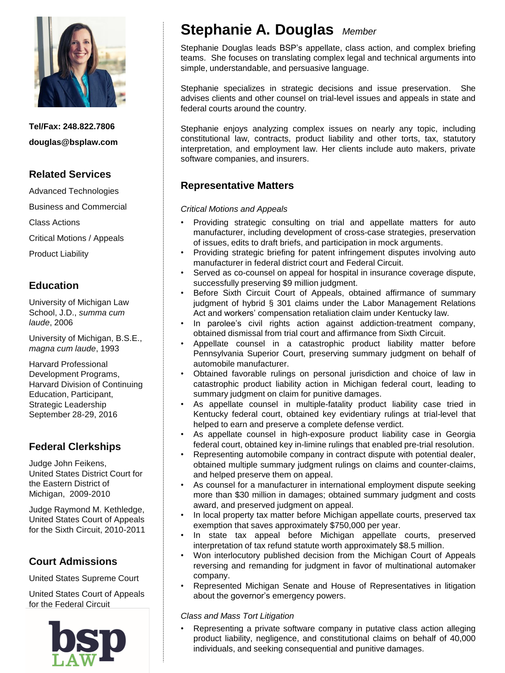

**Tel/Fax: 248.822.7806 douglas@bsplaw.com**

## **Related Services**

Advanced Technologies

Business and Commercial

Class Actions

Critical Motions / Appeals

Product Liability

## **Education**

University of Michigan Law School, J.D., *summa cum laude*, 2006

University of Michigan, B.S.E., *magna cum laude*, 1993

Harvard Professional Development Programs, Harvard Division of Continuing Education, Participant, Strategic Leadership September 28-29, 2016

# **Federal Clerkships**

Judge John Feikens, United States District Court for the Eastern District of Michigan, 2009-2010

Judge Raymond M. Kethledge, United States Court of Appeals for the Sixth Circuit, 2010-2011

### **Court Admissions**

United States Supreme Court

United States Court of Appeals for the Federal Circuit



# **Stephanie A. Douglas** *Member*

Stephanie Douglas leads BSP's appellate, class action, and complex briefing teams. She focuses on translating complex legal and technical arguments into simple, understandable, and persuasive language.

Stephanie specializes in strategic decisions and issue preservation. She advises clients and other counsel on trial-level issues and appeals in state and federal courts around the country.

Stephanie enjoys analyzing complex issues on nearly any topic, including constitutional law, contracts, product liability and other torts, tax, statutory interpretation, and employment law. Her clients include auto makers, private software companies, and insurers.

## **Representative Matters**

*Critical Motions and Appeals*

- Providing strategic consulting on trial and appellate matters for auto manufacturer, including development of cross-case strategies, preservation of issues, edits to draft briefs, and participation in mock arguments.
- Providing strategic briefing for patent infringement disputes involving auto manufacturer in federal district court and Federal Circuit.
- Served as co-counsel on appeal for hospital in insurance coverage dispute, successfully preserving \$9 million judgment.
- Before Sixth Circuit Court of Appeals, obtained affirmance of summary judgment of hybrid § 301 claims under the Labor Management Relations Act and workers' compensation retaliation claim under Kentucky law.
- In parolee's civil rights action against addiction-treatment company, obtained dismissal from trial court and affirmance from Sixth Circuit.
- Appellate counsel in a catastrophic product liability matter before Pennsylvania Superior Court, preserving summary judgment on behalf of automobile manufacturer.
- Obtained favorable rulings on personal jurisdiction and choice of law in catastrophic product liability action in Michigan federal court, leading to summary judgment on claim for punitive damages.
- As appellate counsel in multiple-fatality product liability case tried in Kentucky federal court, obtained key evidentiary rulings at trial-level that helped to earn and preserve a complete defense verdict.
- As appellate counsel in high-exposure product liability case in Georgia federal court, obtained key in-limine rulings that enabled pre-trial resolution.
- Representing automobile company in contract dispute with potential dealer, obtained multiple summary judgment rulings on claims and counter-claims, and helped preserve them on appeal.
- As counsel for a manufacturer in international employment dispute seeking more than \$30 million in damages; obtained summary judgment and costs award, and preserved judgment on appeal.
- In local property tax matter before Michigan appellate courts, preserved tax exemption that saves approximately \$750,000 per year.
- In state tax appeal before Michigan appellate courts, preserved interpretation of tax refund statute worth approximately \$8.5 million.
- Won interlocutory published decision from the Michigan Court of Appeals reversing and remanding for judgment in favor of multinational automaker company.
- Represented Michigan Senate and House of Representatives in litigation about the governor's emergency powers.

*Class and Mass Tort Litigation*

• Representing a private software company in putative class action alleging product liability, negligence, and constitutional claims on behalf of 40,000 individuals, and seeking consequential and punitive damages.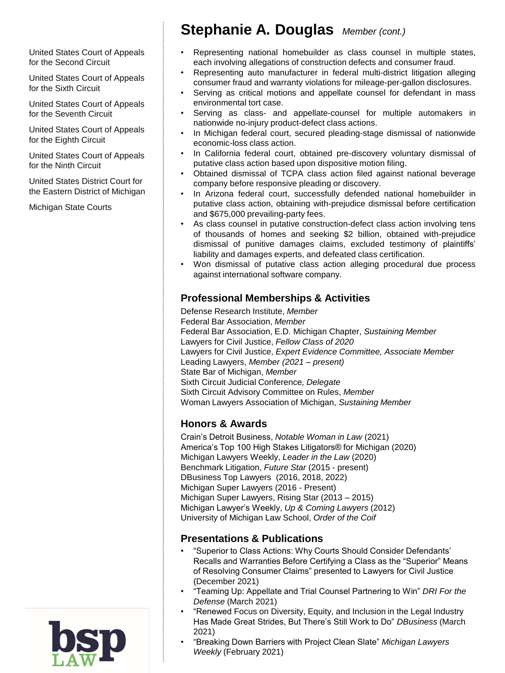United States Court of Appeals for the Second Circuit

United States Court of Appeals for the Sixth Circuit

United States Court of Appeals for the Seventh Circuit

United States Court of Appeals for the Eighth Circuit

United States Court of Appeals for the Ninth Circuit

United States District Court for the Eastern District of Michigan

Michigan State Courts

# **Stephanie A. Douglas** *Member (cont.)*

- Representing national homebuilder as class counsel in multiple states, each involving allegations of construction defects and consumer fraud.
- Representing auto manufacturer in federal multi-district litigation alleging consumer fraud and warranty violations for mileage-per-gallon disclosures.
- Serving as critical motions and appellate counsel for defendant in mass environmental tort case.
- Serving as class- and appellate-counsel for multiple automakers in nationwide no-injury product-defect class actions.
- In Michigan federal court, secured pleading-stage dismissal of nationwide economic-loss class action.
- In California federal court, obtained pre-discovery voluntary dismissal of putative class action based upon dispositive motion filing.
- Obtained dismissal of TCPA class action filed against national beverage company before responsive pleading or discovery.
- In Arizona federal court, successfully defended national homebuilder in putative class action, obtaining with-prejudice dismissal before certification and \$675,000 prevailing-party fees.
- As class counsel in putative construction-defect class action involving tens of thousands of homes and seeking \$2 billion, obtained with-prejudice dismissal of punitive damages claims, excluded testimony of plaintiffs' liability and damages experts, and defeated class certification.
- Won dismissal of putative class action alleging procedural due process against international software company.

### **Professional Memberships & Activities**

Defense Research Institute, *Member*  Federal Bar Association, *Member* Federal Bar Association, E.D. Michigan Chapter, *Sustaining Member* Lawyers for Civil Justice, *Fellow Class of 2020* Lawyers for Civil Justice, *Expert Evidence Committee, Associate Member* Leading Lawyers, *Member (2021 – present)* State Bar of Michigan, *Member* Sixth Circuit Judicial Conference*, Delegate*  Sixth Circuit Advisory Committee on Rules, *Member* Woman Lawyers Association of Michigan, *Sustaining Member*

### **Honors & Awards**

Crain's Detroit Business, *Notable Woman in Law* (2021) America's Top 100 High Stakes Litigators® for Michigan (2020) Michigan Lawyers Weekly, *Leader in the Law* (2020) Benchmark Litigation, *Future Star* (2015 - present) DBusiness Top Lawyers (2016, 2018, 2022) Michigan Super Lawyers (2016 - Present) Michigan Super Lawyers, Rising Star (2013 – 2015) Michigan Lawyer's Weekly, *Up & Coming Lawyers* (2012) University of Michigan Law School, *Order of the Coif*

### **Presentations & Publications**

- "Superior to Class Actions: Why Courts Should Consider Defendants' Recalls and Warranties Before Certifying a Class as the "Superior" Means of Resolving Consumer Claims" presented to Lawyers for Civil Justice (December 2021)
- "Teaming Up: Appellate and Trial Counsel Partnering to Win" *DRI For the Defense* (March 2021)
- "Renewed Focus on Diversity, Equity, and Inclusion in the Legal Industry Has Made Great Strides, But There's Still Work to Do" *DBusiness* (March 2021)
- "Breaking Down Barriers with Project Clean Slate" *Michigan Lawyers Weekly* (February 2021)